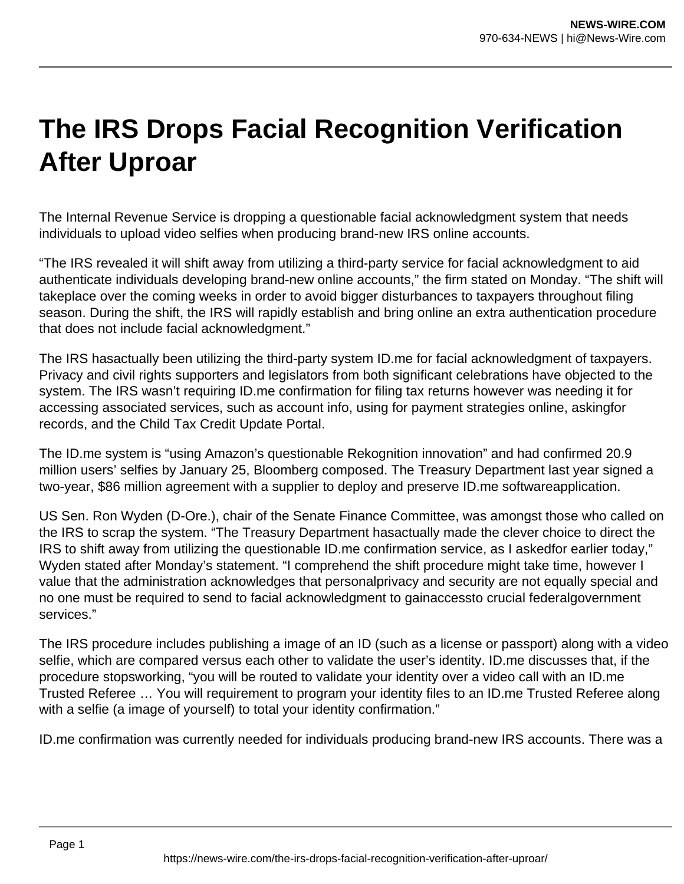## **The IRS Drops Facial Recognition Verification After Uproar**

The Internal Revenue Service is dropping a questionable facial acknowledgment system that needs individuals to upload video selfies when producing brand-new IRS online accounts.

"The IRS revealed it will shift away from utilizing a third-party service for facial acknowledgment to aid authenticate individuals developing brand-new online accounts," the firm stated on Monday. "The shift will takeplace over the coming weeks in order to avoid bigger disturbances to taxpayers throughout filing season. During the shift, the IRS will rapidly establish and bring online an extra authentication procedure that does not include facial acknowledgment."

The IRS hasactually been utilizing the third-party system ID.me for facial acknowledgment of taxpayers. Privacy and civil rights supporters and legislators from both significant celebrations have objected to the system. The IRS wasn't requiring ID.me confirmation for filing tax returns however was needing it for accessing associated services, such as account info, using for payment strategies online, askingfor records, and the Child Tax Credit Update Portal.

The ID.me system is "using Amazon's questionable Rekognition innovation" and had confirmed 20.9 million users' selfies by January 25, Bloomberg composed. The Treasury Department last year signed a two-year, \$86 million agreement with a supplier to deploy and preserve ID.me softwareapplication.

US Sen. Ron Wyden (D-Ore.), chair of the Senate Finance Committee, was amongst those who called on the IRS to scrap the system. "The Treasury Department hasactually made the clever choice to direct the IRS to shift away from utilizing the questionable ID.me confirmation service, as I askedfor earlier today," Wyden stated after Monday's statement. "I comprehend the shift procedure might take time, however I value that the administration acknowledges that personalprivacy and security are not equally special and no one must be required to send to facial acknowledgment to gainaccessto crucial federalgovernment services."

The IRS procedure includes publishing a image of an ID (such as a license or passport) along with a video selfie, which are compared versus each other to validate the user's identity. ID.me discusses that, if the procedure stopsworking, "you will be routed to validate your identity over a video call with an ID.me Trusted Referee … You will requirement to program your identity files to an ID.me Trusted Referee along with a selfie (a image of yourself) to total your identity confirmation."

ID.me confirmation was currently needed for individuals producing brand-new IRS accounts. There was a